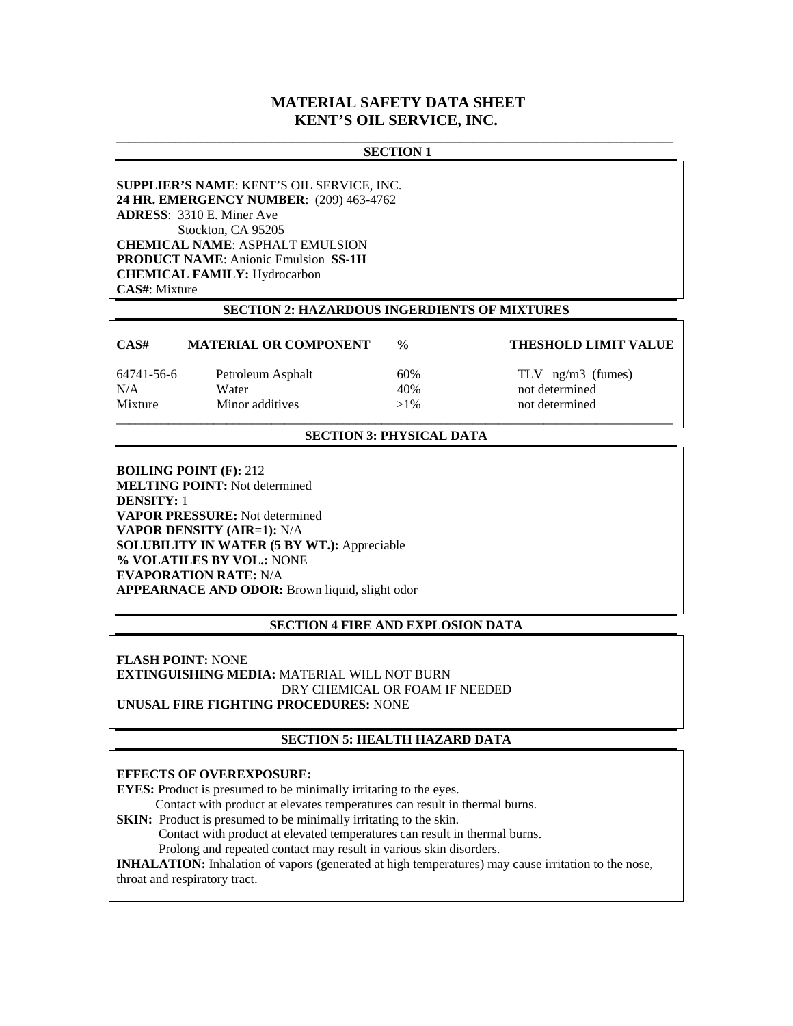# **MATERIAL SAFETY DATA SHEET KENT'S OIL SERVICE, INC.**

### \_\_\_\_\_\_\_\_\_\_\_\_\_\_\_\_\_\_\_\_\_\_\_\_\_\_\_\_\_\_\_\_\_\_\_\_\_\_\_\_\_\_\_\_\_\_\_\_\_\_\_\_\_\_\_\_\_\_\_\_\_\_\_\_\_\_\_\_\_\_\_\_\_\_\_\_\_\_\_\_\_\_\_\_\_\_ **SECTION 1**

**SUPPLIER'S NAME**: KENT'S OIL SERVICE, INC. **24 HR. EMERGENCY NUMBER**: (209) 463-4762 **ADRESS**: 3310 E. Miner Ave Stockton, CA 95205 **CHEMICAL NAME**: ASPHALT EMULSION **PRODUCT NAME**: Anionic Emulsion **SS-1H CHEMICAL FAMILY:** Hydrocarbon **CAS#**: Mixture

### **SECTION 2: HAZARDOUS INGERDIENTS OF MIXTURES**

# **CAS# MATERIAL OR COMPONENT % THESHOLD LIMIT VALUE**

64741-56-6 Petroleum Asphalt 60% TLV ng/m3 (fumes) N/A Water 40% not determined Mixture Minor additives  $>1\%$  not determined \_\_\_\_\_\_\_\_\_\_\_\_\_\_\_\_\_\_\_\_\_\_\_\_\_\_\_\_\_\_\_\_\_\_\_\_\_\_\_\_\_\_\_\_\_\_\_\_\_\_\_\_\_\_\_\_\_\_\_\_\_\_\_\_\_\_\_\_\_\_\_\_\_\_\_\_\_\_\_\_\_\_\_\_\_\_

# **SECTION 3: PHYSICAL DATA**

**BOILING POINT (F):** 212 **MELTING POINT:** Not determined **DENSITY:** 1 **VAPOR PRESSURE:** Not determined **VAPOR DENSITY (AIR=1):** N/A **SOLUBILITY IN WATER (5 BY WT.):** Appreciable **% VOLATILES BY VOL.:** NONE **EVAPORATION RATE:** N/A **APPEARNACE AND ODOR:** Brown liquid, slight odor

### **SECTION 4 FIRE AND EXPLOSION DATA**

**FLASH POINT:** NONE **EXTINGUISHING MEDIA:** MATERIAL WILL NOT BURN DRY CHEMICAL OR FOAM IF NEEDED **UNUSAL FIRE FIGHTING PROCEDURES:** NONE

### **SECTION 5: HEALTH HAZARD DATA**

### **EFFECTS OF OVEREXPOSURE:**

**EYES:** Product is presumed to be minimally irritating to the eyes.

Contact with product at elevates temperatures can result in thermal burns.

**SKIN:** Product is presumed to be minimally irritating to the skin.

 Contact with product at elevated temperatures can result in thermal burns. Prolong and repeated contact may result in various skin disorders.

**INHALATION:** Inhalation of vapors (generated at high temperatures) may cause irritation to the nose, throat and respiratory tract.